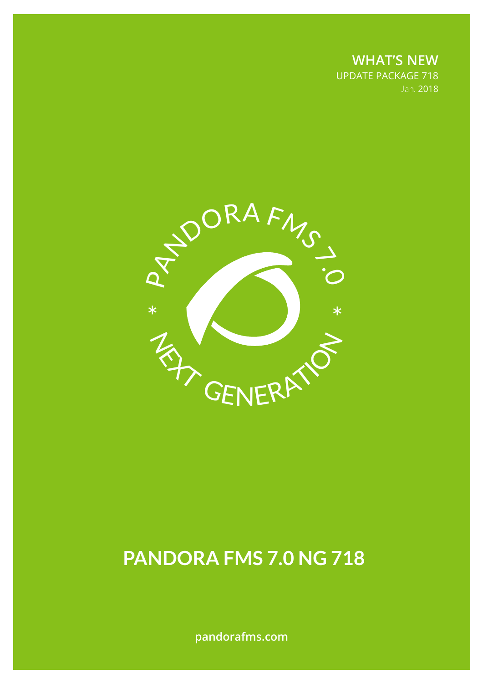**WHAT'S NEW** UPDATE PACKAGE 718 Jan. 2018



# **PANDORA FMS 7.0 NG 718**

**pandorafms.com**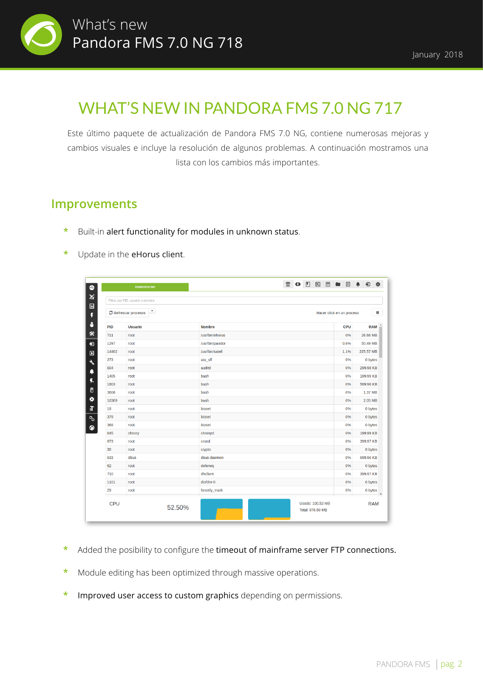

## WHAT'S NEW IN PANDORA FMS 7.0 NG 717

Este último paquete de actualización de Pandora FMS 7.0 NG, contiene numerosas mejoras y cambios visuales e incluye la resolución de algunos problemas. A continuación mostramos una lista con los cambios más importantes.

#### **Improvements**

- Built-in alert functionality for modules in unknown status.
- Update in the eHorus client.

|       | $\overline{\phantom{a}}$<br>C Refrescar procesos |                 | Hacer click en un proceso |            |
|-------|--------------------------------------------------|-----------------|---------------------------|------------|
| PID   | <b>Usuario</b>                                   | <b>Nombre</b>   | <b>CPU</b>                | <b>RAM</b> |
| 711   | root                                             | /usr/bin/ehorus | 0%                        | 26.66 MB   |
| 1297  | root                                             | /usr/bin/pandor | 0.6%                      | 50.49 MB   |
| 14402 | root                                             | /usr/bin/satell | 1.1%                      | 225.57 MB  |
| 273   | root                                             | ata_sff         | 0%                        | 0 bytes    |
| 604   | root                                             | auditd          | 0%                        | 299.98 KB  |
| 1405  | root                                             | bash            | 0%                        | 199.99 KB  |
| 1803  | root                                             | bash            | 0%                        | 599.96 KB  |
| 3606  | root                                             | bash            | 0%                        | 1.37 MB    |
| 16309 | root                                             | bash            | 0%                        | 2.05 MB    |
| 18    | root                                             | bioset          | 0%                        | 0 bytes    |
| 379   | root                                             | bioset          | 0%                        | 0 bytes    |
| 368   | root                                             | bioset          | 0%                        | 0 bytes    |
| 645   | chrony                                           | chronyd         | 0%                        | 199.99 KB  |
| 673   | root                                             | crond           | 0%                        | 399.97 KB  |
| 30    | root                                             | crypto          | 0%                        | 0 bytes    |
| 633   | dbus                                             | dbus-daemon     | 0%                        | 699.96 KB  |
| 62    | root                                             | deferwq         | 0%                        | 0 bytes    |
| 710   | root                                             | dhclient        | 0%                        | 399.97 KB  |
| 1101  | root                                             | dio/dm-0        | 0%                        | 0 bytes    |
| 29    | root                                             | fsnotify mark   | 0%                        | 0 bytes    |

- **\*** Added the posibility to configure the timeout of mainframe server FTP connections.
- **\*** Module editing has been optimized through massive operations.
- **\*** Improved user access to custom graphics depending on permissions.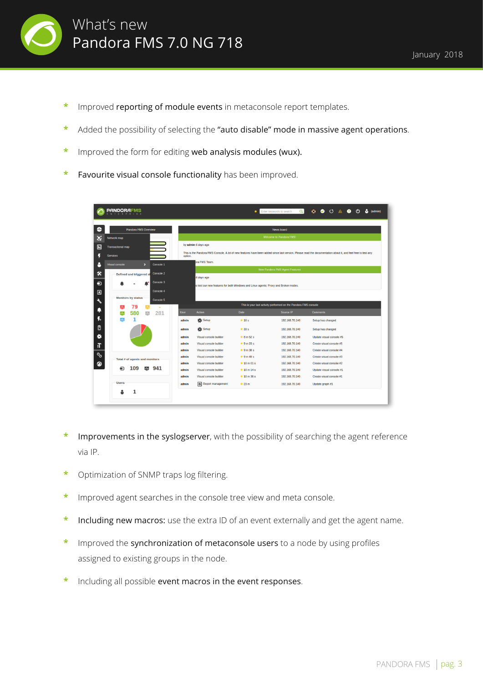

- **\*** Improved reporting of module events in metaconsole report templates.
- **\*** Added the possibility of selecting the "auto disable" mode in massive agent operations.
- **\*** Improved the form for editing web analysis modules (wux).
- Favourite visual console functionality has been improved.

|                             | PANDORAFI                                                      |                                                                                    | ٠                                     | Enter keywords to search<br>$\alpha$                            | o.<br>$\bullet$ 0 $\land$<br>& (admin)<br>$\bullet$<br>(י)                                                                                                   |  |  |  |  |  |  |  |
|-----------------------------|----------------------------------------------------------------|------------------------------------------------------------------------------------|---------------------------------------|-----------------------------------------------------------------|--------------------------------------------------------------------------------------------------------------------------------------------------------------|--|--|--|--|--|--|--|
| 4.                          | Pandora FMS Overview                                           |                                                                                    |                                       | News board                                                      |                                                                                                                                                              |  |  |  |  |  |  |  |
|                             |                                                                |                                                                                    | <b>Welcome to Pandora FMS!</b>        |                                                                 |                                                                                                                                                              |  |  |  |  |  |  |  |
| x                           | Network map                                                    |                                                                                    |                                       |                                                                 |                                                                                                                                                              |  |  |  |  |  |  |  |
| $\Box$                      | <b>Transactional map</b>                                       | by admin 6 days ago                                                                |                                       |                                                                 |                                                                                                                                                              |  |  |  |  |  |  |  |
| Ę                           | <b>Services</b>                                                | option.                                                                            |                                       |                                                                 | This is the Pandora FMS Console. A lot of new features have been added since last version. Please read the documentation about it, and feel free to test any |  |  |  |  |  |  |  |
| ρ                           | <b>Visual console</b><br>$\overline{\phantom{a}}$<br>Console 1 | bra FMS Team.                                                                      |                                       |                                                                 |                                                                                                                                                              |  |  |  |  |  |  |  |
|                             | Console 2                                                      |                                                                                    | <b>New Pandora FMS Agent Features</b> |                                                                 |                                                                                                                                                              |  |  |  |  |  |  |  |
| 氽                           | Defined and triggered al                                       | 6 days ago                                                                         |                                       |                                                                 |                                                                                                                                                              |  |  |  |  |  |  |  |
| $\boldsymbol{\Theta}$       | Console 3                                                      | o test our new features for both Windows and Linux agents: Proxy and Broker modes. |                                       |                                                                 |                                                                                                                                                              |  |  |  |  |  |  |  |
| $\blacksquare$              | Console 4                                                      |                                                                                    |                                       |                                                                 |                                                                                                                                                              |  |  |  |  |  |  |  |
| $\mathcal{S}_{\mathcal{A}}$ | <b>Monitors by status</b><br>Console 5                         |                                                                                    |                                       |                                                                 |                                                                                                                                                              |  |  |  |  |  |  |  |
|                             | 79<br>٠                                                        |                                                                                    |                                       | This is your last activity performed on the Pandora FMS console |                                                                                                                                                              |  |  |  |  |  |  |  |
| ۹                           | 281<br>580<br>$\Delta \omega$<br>ᆇ                             | <b>User</b><br><b>Action</b>                                                       | Date                                  | Source IP                                                       | <b>Comments</b>                                                                                                                                              |  |  |  |  |  |  |  |
| 4.                          | 1<br>л.                                                        | Setup<br>admin                                                                     | $\star$ 16 s                          | 192.168.70.140                                                  | Setup has changed                                                                                                                                            |  |  |  |  |  |  |  |
| 目                           |                                                                | <b>XX</b> Setup<br>admin                                                           | $\star$ 33 $s$                        | 192.168.70.140                                                  | Setup has changed                                                                                                                                            |  |  |  |  |  |  |  |
| *                           |                                                                | admin<br>Visual console builder                                                    | $\pm$ 8 m 52 s                        | 192.168.70.140                                                  | Update visual console #5                                                                                                                                     |  |  |  |  |  |  |  |
| T                           |                                                                | admin<br>Visual console builder                                                    | $\pm$ 9 m 23 s                        | 192.168.70.140                                                  | Create visual console #5                                                                                                                                     |  |  |  |  |  |  |  |
|                             |                                                                | Visual console builder<br>admin                                                    | $\pm$ 9 m 38 s                        | 192.168.70.140                                                  | Create visual console #4                                                                                                                                     |  |  |  |  |  |  |  |
| S                           | Total # of agents and monitors                                 | Visual console builder<br>admin                                                    | $\star$ 9 m 49 s                      | 192.168.70.140                                                  | Create visual console #3                                                                                                                                     |  |  |  |  |  |  |  |
| ◉                           |                                                                | Visual console builder<br>admin                                                    | $\star$ 10 m 01 s                     | 192.168.70.140                                                  | Create visual console #2                                                                                                                                     |  |  |  |  |  |  |  |
|                             | 109<br>941                                                     | admin<br>Visual console builder                                                    | $\pm 10$ m 14 s                       | 192.168.70.140                                                  | Update visual console #1                                                                                                                                     |  |  |  |  |  |  |  |
|                             |                                                                | admin<br>Visual console builder                                                    | $\pm 10$ m 36 s                       | 192.168.70.140                                                  | Create visual console #1                                                                                                                                     |  |  |  |  |  |  |  |
|                             | <b>Users</b>                                                   | Report management<br>admin                                                         | $\pm 23$ m                            | 192.168.70.140                                                  | Update graph #1                                                                                                                                              |  |  |  |  |  |  |  |
|                             |                                                                |                                                                                    |                                       |                                                                 |                                                                                                                                                              |  |  |  |  |  |  |  |

- Improvements in the syslogserver, with the possibility of searching the agent reference via IP.
- **\*** Optimization of SNMP traps log filtering.
- **\*** Improved agent searches in the console tree view and meta console.
- **\*** Including new macros: use the extra ID of an event externally and get the agent name.
- **\*** Improved the synchronization of metaconsole users to a node by using profiles assigned to existing groups in the node.
- **\*** Including all possible event macros in the event responses.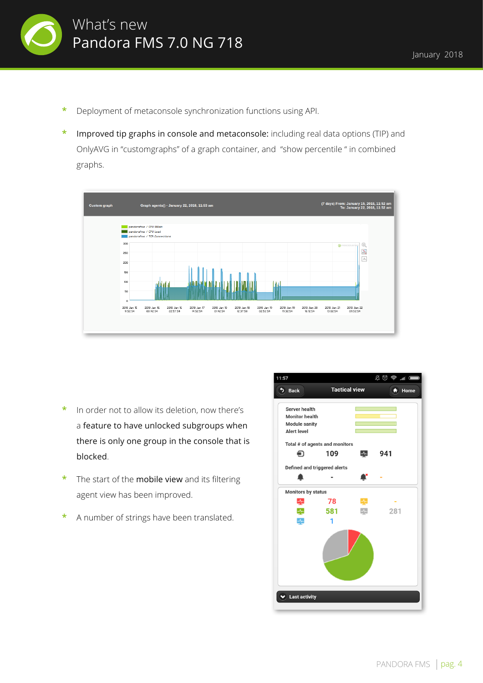

- **\*** Deployment of metaconsole synchronization functions using API.
- **\*** Improved tip graphs in console and metaconsole: including real data options (TIP) and OnlyAVG in "customgraphs" of a graph container, and "show percentile " in combined graphs.



- **\*** In order not to allow its deletion, now there's a feature to have unlocked subgroups when there is only one group in the console that is blocked.
- **\*** The start of the mobile view and its filtering agent view has been improved.
- **\*** A number of strings have been translated.

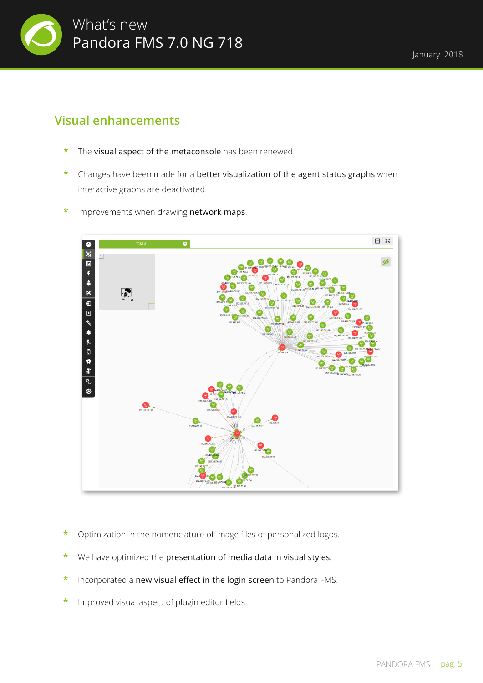

### **Visual enhancements**

- The visual aspect of the metaconsole has been renewed.
- **\*** Changes have been made for a better visualization of the agent status graphs when interactive graphs are deactivated.
- **\*** Improvements when drawing network maps.



- **\*** Optimization in the nomenclature of image files of personalized logos.
- We have optimized the presentation of media data in visual styles.
- **\*** Incorporated a new visual effect in the login screen to Pandora FMS.
- **\*** Improved visual aspect of plugin editor fields.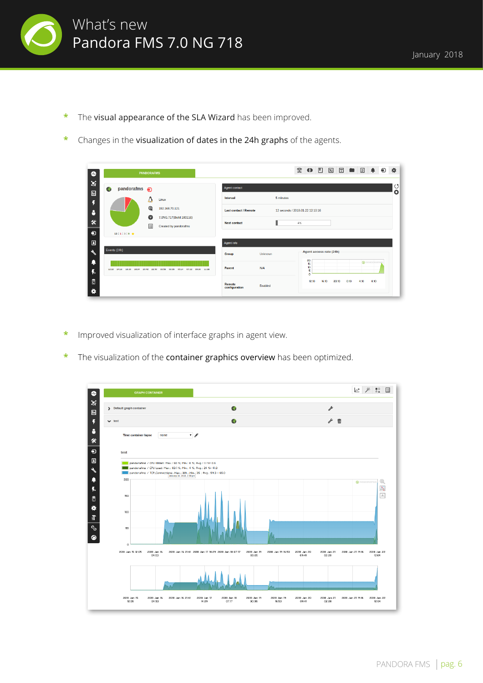

- **\*** The visual appearance of the SLA Wizard has been improved.
- **\*** Changes in the visualization of dates in the 24h graphs of the agents.

| $\bullet$                               | <b>PANDORAFMS</b>                                                       |                                                 |         |                                               |    |                         |       | $\mathbf{R} \bullet \mathbf{R} \bullet \mathbf{R} \bullet \mathbf{R} \bullet \mathbf{R} \bullet \mathbf{R} \bullet \mathbf{R} \bullet \mathbf{R} \bullet \mathbf{R} \bullet \mathbf{R} \bullet \mathbf{R} \bullet \mathbf{R} \bullet \mathbf{R} \bullet \mathbf{R} \bullet \mathbf{R} \bullet \mathbf{R} \bullet \mathbf{R} \bullet \mathbf{R} \bullet \mathbf{R} \bullet \mathbf{R} \bullet \mathbf{R} \bullet \mathbf{R} \bullet \mathbf{R} \bullet \mathbf{R} \bullet \mathbf{R} \bullet \mathbf{R} \bullet \mathbf{R} \bullet \mathbf{$ |      |      |               | $\ddot{\mathbf{u}}$ |
|-----------------------------------------|-------------------------------------------------------------------------|-------------------------------------------------|---------|-----------------------------------------------|----|-------------------------|-------|---------------------------------------------------------------------------------------------------------------------------------------------------------------------------------------------------------------------------------------------------------------------------------------------------------------------------------------------------------------------------------------------------------------------------------------------------------------------------------------------------------------------------------------------|------|------|---------------|---------------------|
| ×<br>$\Box$                             | pandorafms a<br>$\mathbb{Z}$                                            | <b>Agent contact</b>                            |         |                                               |    |                         |       |                                                                                                                                                                                                                                                                                                                                                                                                                                                                                                                                             |      |      |               | ೮<br>$\bullet$      |
| Ŧ                                       | Linux<br>Ο<br>$^{\oplus}$<br>192.168.70.121                             | <b>Interval</b><br><b>Last contact / Remote</b> |         | 5 minutes<br>12 seconds / 2018-01-22 12:10:16 |    |                         |       |                                                                                                                                                                                                                                                                                                                                                                                                                                                                                                                                             |      |      |               |                     |
| 8<br>氽                                  | $\bullet$<br>7.0NG.717(Build 180116)                                    | <b>Next contact</b>                             |         |                                               | 4% |                         |       |                                                                                                                                                                                                                                                                                                                                                                                                                                                                                                                                             |      |      |               |                     |
| $\bullet$                               | 旧<br>Created by pandorafms<br>$13:1:3:9$ $\pm$                          |                                                 |         |                                               |    |                         |       |                                                                                                                                                                                                                                                                                                                                                                                                                                                                                                                                             |      |      |               |                     |
| $\boxed{\blacksquare}$<br>$\mathcal{L}$ | Events (24h)                                                            | <b>Agent info</b><br><b>Group</b>               | Unknown |                                               |    |                         |       | Agent access rate (24h)                                                                                                                                                                                                                                                                                                                                                                                                                                                                                                                     |      |      |               |                     |
| Ą                                       |                                                                         | Parent                                          | N/A     |                                               |    | 20<br>15<br>10          |       |                                                                                                                                                                                                                                                                                                                                                                                                                                                                                                                                             |      |      | @ PANDORAFINS |                     |
| ŗ.<br>₿                                 | 12:10 14:18 16:26 18:34 20:42 22:50 00:58 03:06 05:14 07:22 09:30 11:38 |                                                 |         |                                               |    | 5<br>$\bullet$<br>12:10 | 16:10 | 20:10                                                                                                                                                                                                                                                                                                                                                                                                                                                                                                                                       | 0:10 | 4:10 | 8:10          |                     |
| ٠                                       |                                                                         | Remote<br>configuration                         | Enabled |                                               |    |                         |       |                                                                                                                                                                                                                                                                                                                                                                                                                                                                                                                                             |      |      |               |                     |

- **\*** Improved visualization of interface graphs in agent view.
- **\*** The visualization of the container graphics overview has been optimized.